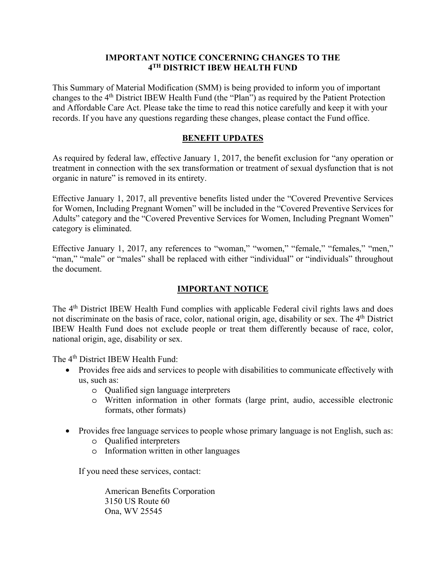## **IMPORTANT NOTICE CONCERNING CHANGES TO THE 4TH DISTRICT IBEW HEALTH FUND**

This Summary of Material Modification (SMM) is being provided to inform you of important changes to the 4th District IBEW Health Fund (the "Plan") as required by the Patient Protection and Affordable Care Act. Please take the time to read this notice carefully and keep it with your records. If you have any questions regarding these changes, please contact the Fund office.

## **BENEFIT UPDATES**

As required by federal law, effective January 1, 2017, the benefit exclusion for "any operation or treatment in connection with the sex transformation or treatment of sexual dysfunction that is not organic in nature" is removed in its entirety.

Effective January 1, 2017, all preventive benefits listed under the "Covered Preventive Services for Women, Including Pregnant Women" will be included in the "Covered Preventive Services for Adults" category and the "Covered Preventive Services for Women, Including Pregnant Women" category is eliminated.

Effective January 1, 2017, any references to "woman," "women," "female," "females," "men," "man," "male" or "males" shall be replaced with either "individual" or "individuals" throughout the document.

## **IMPORTANT NOTICE**

The 4<sup>th</sup> District IBEW Health Fund complies with applicable Federal civil rights laws and does not discriminate on the basis of race, color, national origin, age, disability or sex. The 4<sup>th</sup> District IBEW Health Fund does not exclude people or treat them differently because of race, color, national origin, age, disability or sex.

The 4<sup>th</sup> District IBEW Health Fund:

- Provides free aids and services to people with disabilities to communicate effectively with us, such as:
	- o Qualified sign language interpreters
	- o Written information in other formats (large print, audio, accessible electronic formats, other formats)
- Provides free language services to people whose primary language is not English, such as:
	- o Qualified interpreters
	- o Information written in other languages

If you need these services, contact:

 American Benefits Corporation 3150 US Route 60 Ona, WV 25545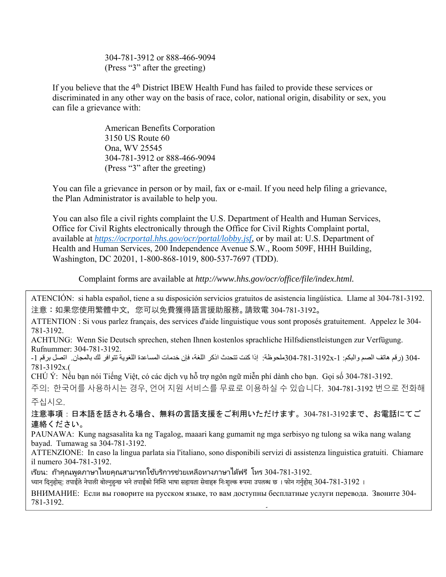304-781-3912 or 888-466-9094 (Press "3" after the greeting)

If you believe that the  $4<sup>th</sup>$  District IBEW Health Fund has failed to provide these services or discriminated in any other way on the basis of race, color, national origin, disability or sex, you can file a grievance with:

> American Benefits Corporation 3150 US Route 60 Ona, WV 25545 304-781-3912 or 888-466-9094 (Press "3" after the greeting)

You can file a grievance in person or by mail, fax or e-mail. If you need help filing a grievance, the Plan Administrator is available to help you.

You can also file a civil rights complaint the U.S. Department of Health and Human Services, Office for Civil Rights electronically through the Office for Civil Rights Complaint portal, available at *https://ocrportal.hhs.gov/ocr/portal/lobby.jsf,* or by mail at: U.S. Department of Health and Human Services, 200 Independence Avenue S.W., Room 509F, HHH Building, Washington, DC 20201, 1-800-868-1019, 800-537-7697 (TDD).

Complaint forms are available at *http://www.hhs.gov/ocr/office/file/index.html.* 

ATENCIÓN: si habla español, tiene a su disposición servicios gratuitos de asistencia lingüística. Llame al 304-781-3192. 注意:如果您使用繁體中文,您可以免費獲得語言援助服務。請致電 304-781-3192。

ATTENTION : Si vous parlez français, des services d'aide linguistique vous sont proposés gratuitement. Appelez le 304- 781-3192.

ACHTUNG: Wenn Sie Deutsch sprechen, stehen Ihnen kostenlos sprachliche Hilfsdienstleistungen zur Verfügung. Rufnummer: 304-781-3192.

-304 (رقم هاتف الصم والبكم: 1-3192x- 304-304ملحوظة: إذا كنت تتحدث اذكر اللغة، فإن خدمات المساعدة اللغوية تتوافر لك بالمجان. اتصل برقم 1-781-3192x.(

CHÚ Ý: Nếu bạn nói Tiếng Việt, có các dịch vụ hỗ trợ ngôn ngữ miễn phí dành cho bạn. Gọi số 304-781-3192.

주의: 한국어를 사용하시는 경우, 언어 지원 서비스를 무료로 이용하실 수 있습니다. 304-781-3192 번으로 전화해

주십시오.

注意事項:日本語を話される場合、無料の言語支援をご利用いただけます。304-781-3192まで、お電話にてご 連絡ください。

PAUNAWA: Kung nagsasalita ka ng Tagalog, maaari kang gumamit ng mga serbisyo ng tulong sa wika nang walang bayad. Tumawag sa 304-781-3192.

ATTENZIONE: In caso la lingua parlata sia l'italiano, sono disponibili servizi di assistenza linguistica gratuiti. Chiamare il numero 304-781-3192.

ี่ เรียน: ถ้าคณพดภาษาไทยคุณสามารถใช้บริการช่วยเหลือทางภาษาได้ฟรี โหร 304-781-3192.

ध्यान दिनुहोस: तपाईले नेपाली बोल्नुहुन्छ भने तपाईँको निम्ति भाषा सहायता सेवाहरू निःशुल्क रूपमा उपलब्ध छ । फोन गर्नुहोस 304-781-3192 ।

ВНИМАНИЕ: Если вы говорите на русском языке, то вам доступны бесплатные услуги перевода. Звоните 304- 781-3192.

گ